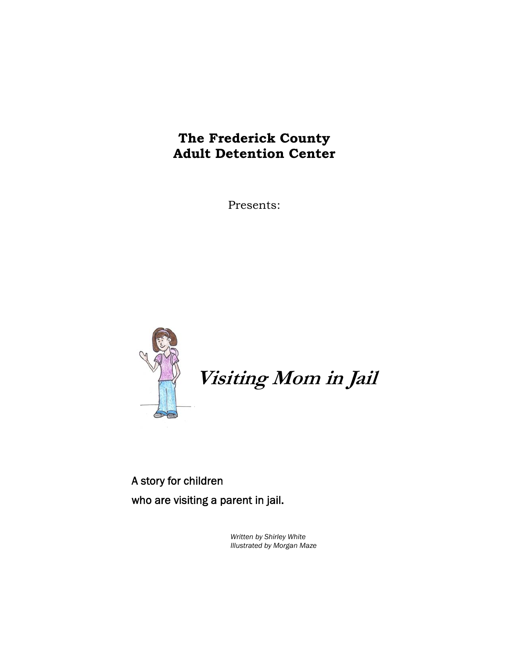# **The Frederick County Adult Detention Center**

Presents:



# **Visiting Mom in Jail**

A story for children who are visiting a parent in jail.

> *Written by Shirley White Illustrated by Morgan Maze*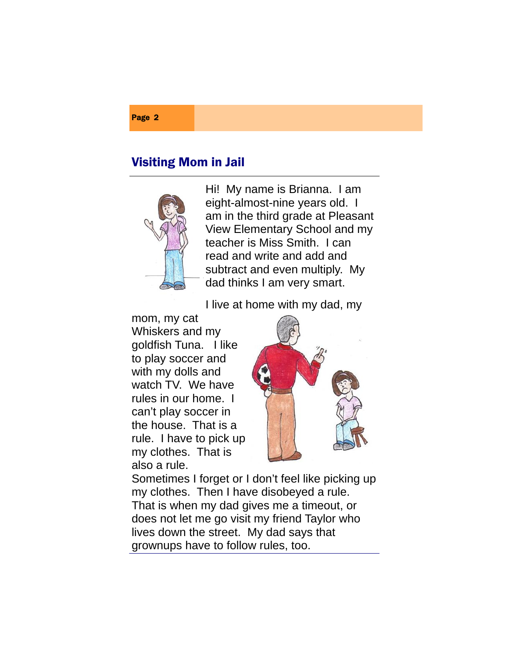### Page 2

## Visiting Mom in Jail



Hi! My name is Brianna. I am eight-almost-nine years old. I am in the third grade at Pleasant View Elementary School and my teacher is Miss Smith. I can read and write and add and subtract and even multiply. My dad thinks I am very smart.

I live at home with my dad, my

mom, my cat Whiskers and my goldfish Tuna. I like to play soccer and with my dolls and watch TV. We have rules in our home. I can't play soccer in the house. That is a rule. I have to pick up my clothes. That is also a rule.



Sometimes I forget or I don't feel like picking up my clothes. Then I have disobeyed a rule. That is when my dad gives me a timeout, or does not let me go visit my friend Taylor who lives down the street. My dad says that grownups have to follow rules, too.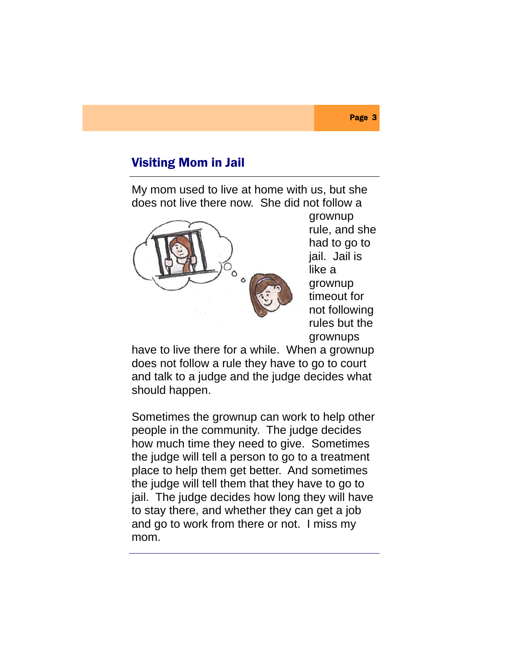My mom used to live at home with us, but she does not live there now. She did not follow a



grownup rule, and she had to go to jail. Jail is like a grownup timeout for not following rules but the grownups

have to live there for a while. When a grownup does not follow a rule they have to go to court and talk to a judge and the judge decides what should happen.

Sometimes the grownup can work to help other people in the community. The judge decides how much time they need to give. Sometimes the judge will tell a person to go to a treatment place to help them get better. And sometimes the judge will tell them that they have to go to jail. The judge decides how long they will have to stay there, and whether they can get a job and go to work from there or not. I miss my mom.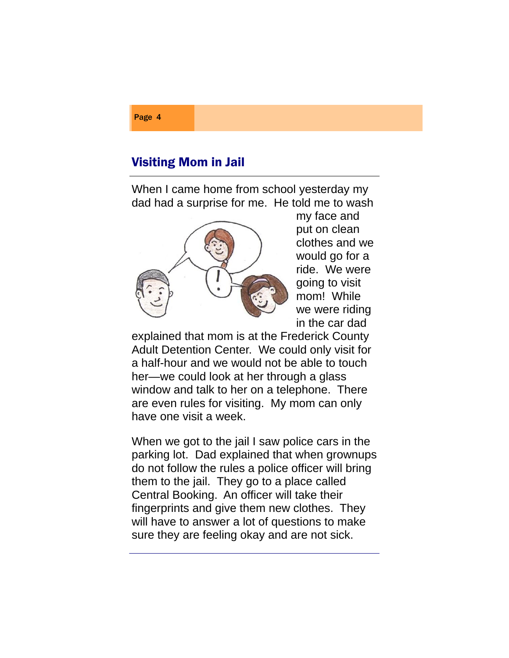When I came home from school yesterday my dad had a surprise for me. He told me to wash



my face and put on clean clothes and we would go for a ride. We were going to visit mom! While we were riding in the car dad

explained that mom is at the Frederick County Adult Detention Center. We could only visit for a half-hour and we would not be able to touch her—we could look at her through a glass window and talk to her on a telephone. There are even rules for visiting. My mom can only have one visit a week.

When we got to the jail I saw police cars in the parking lot. Dad explained that when grownups do not follow the rules a police officer will bring them to the jail. They go to a place called Central Booking. An officer will take their fingerprints and give them new clothes. They will have to answer a lot of questions to make sure they are feeling okay and are not sick.

### Page 4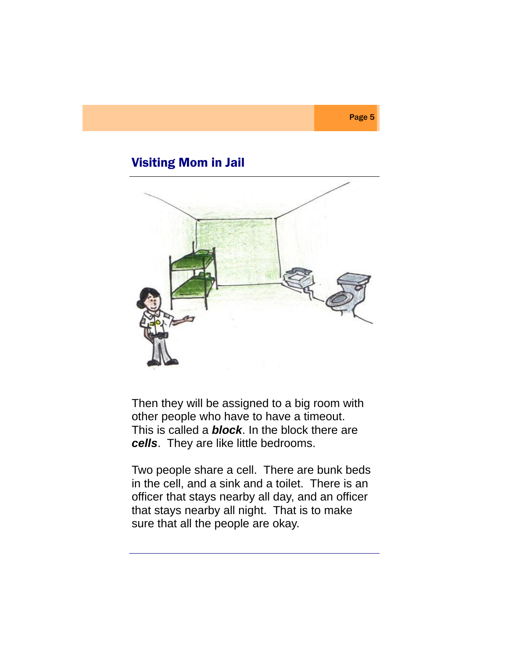

Page 5

Then they will be assigned to a big room with other people who have to have a timeout. This is called a *block*. In the block there are *cells*. They are like little bedrooms.

Two people share a cell. There are bunk beds in the cell, and a sink and a toilet. There is an officer that stays nearby all day, and an officer that stays nearby all night. That is to make sure that all the people are okay.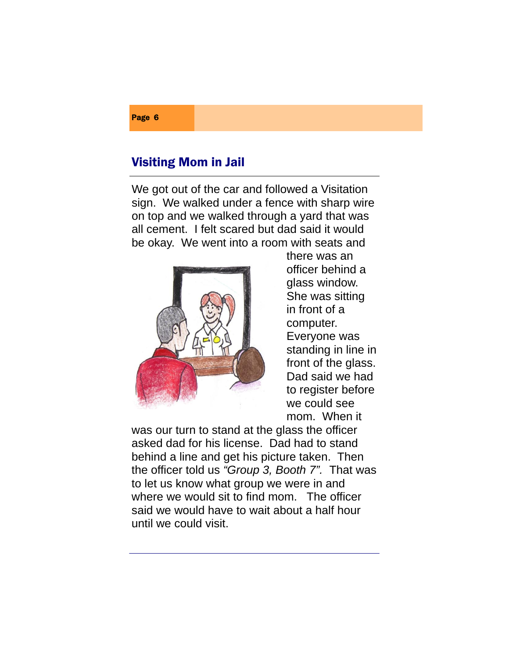We got out of the car and followed a Visitation sign. We walked under a fence with sharp wire on top and we walked through a yard that was all cement. I felt scared but dad said it would be okay. We went into a room with seats and



there was an officer behind a glass window. She was sitting in front of a computer. Everyone was standing in line in front of the glass. Dad said we had to register before we could see mom. When it

was our turn to stand at the glass the officer asked dad for his license. Dad had to stand behind a line and get his picture taken. Then the officer told us *"Group 3, Booth 7".* That was to let us know what group we were in and where we would sit to find mom. The officer said we would have to wait about a half hour until we could visit.

### Page 6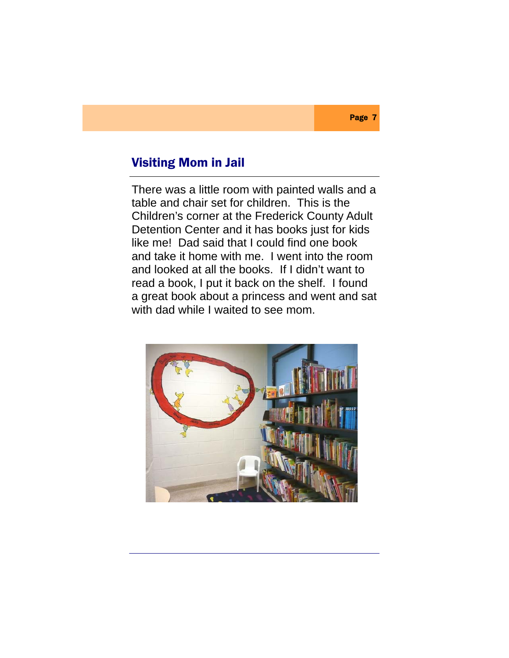There was a little room with painted walls and a table and chair set for children. This is the Children's corner at the Frederick County Adult Detention Center and it has books just for kids like me! Dad said that I could find one book and take it home with me. I went into the room and looked at all the books. If I didn't want to read a book, I put it back on the shelf. I found a great book about a princess and went and sat with dad while I waited to see mom.